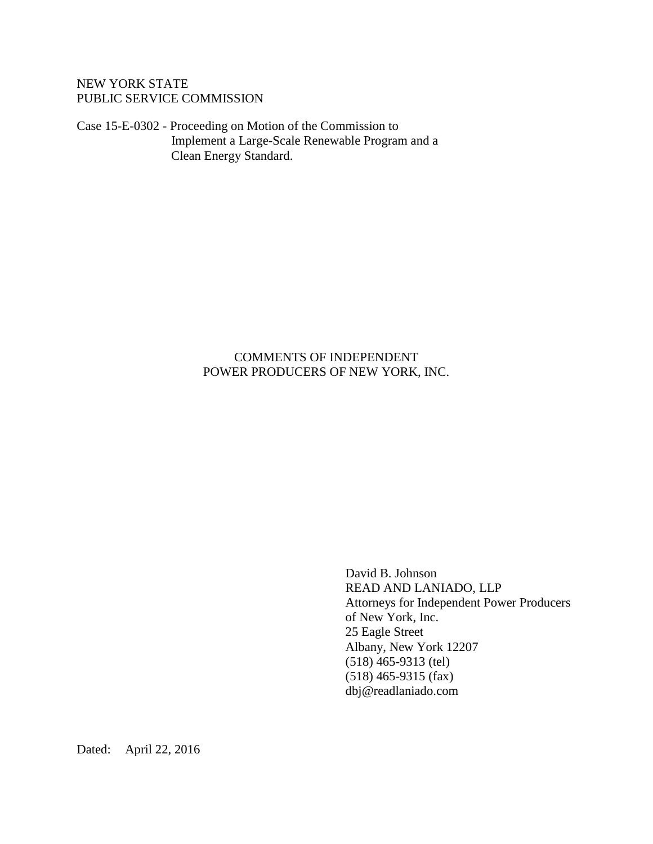# NEW YORK STATE PUBLIC SERVICE COMMISSION

Case 15-E-0302 - Proceeding on Motion of the Commission to Implement a Large-Scale Renewable Program and a Clean Energy Standard.

## COMMENTS OF INDEPENDENT POWER PRODUCERS OF NEW YORK, INC.

David B. Johnson READ AND LANIADO, LLP Attorneys for Independent Power Producers of New York, Inc. 25 Eagle Street Albany, New York 12207 (518) 465-9313 (tel) (518) 465-9315 (fax) dbj@readlaniado.com

Dated: April 22, 2016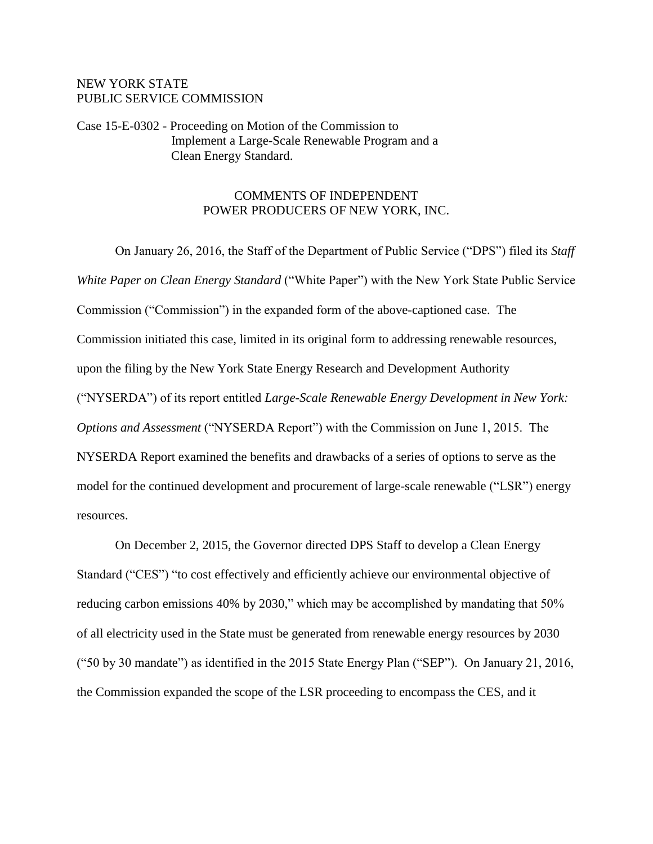#### NEW YORK STATE PUBLIC SERVICE COMMISSION

Case 15-E-0302 - Proceeding on Motion of the Commission to Implement a Large-Scale Renewable Program and a Clean Energy Standard.

## COMMENTS OF INDEPENDENT POWER PRODUCERS OF NEW YORK, INC.

On January 26, 2016, the Staff of the Department of Public Service ("DPS") filed its *Staff White Paper on Clean Energy Standard* ("White Paper") with the New York State Public Service Commission ("Commission") in the expanded form of the above-captioned case. The Commission initiated this case, limited in its original form to addressing renewable resources, upon the filing by the New York State Energy Research and Development Authority ("NYSERDA") of its report entitled *Large-Scale Renewable Energy Development in New York: Options and Assessment* ("NYSERDA Report") with the Commission on June 1, 2015. The NYSERDA Report examined the benefits and drawbacks of a series of options to serve as the model for the continued development and procurement of large-scale renewable ("LSR") energy resources.

On December 2, 2015, the Governor directed DPS Staff to develop a Clean Energy Standard ("CES") "to cost effectively and efficiently achieve our environmental objective of reducing carbon emissions 40% by 2030," which may be accomplished by mandating that 50% of all electricity used in the State must be generated from renewable energy resources by 2030 ("50 by 30 mandate") as identified in the 2015 State Energy Plan ("SEP"). On January 21, 2016, the Commission expanded the scope of the LSR proceeding to encompass the CES, and it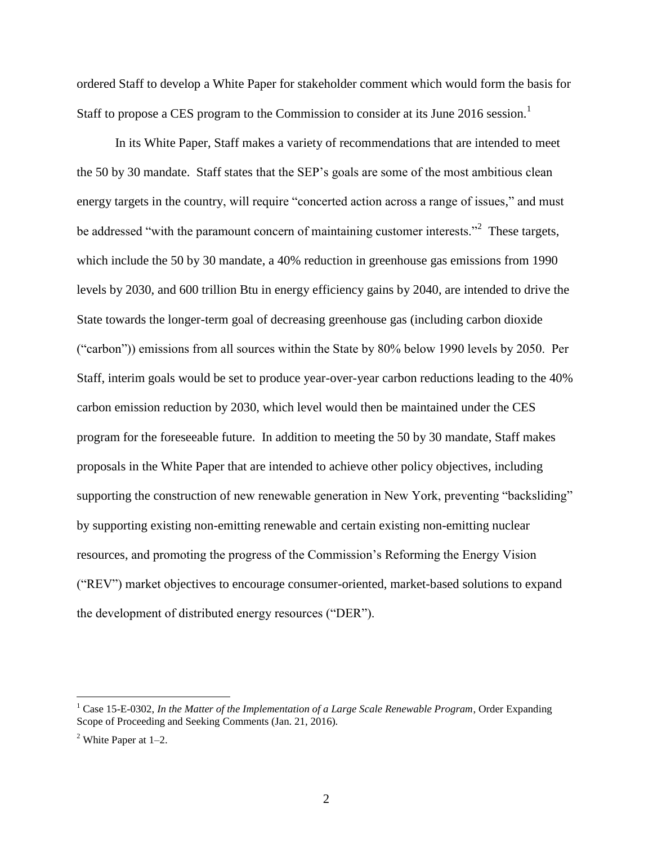ordered Staff to develop a White Paper for stakeholder comment which would form the basis for Staff to propose a CES program to the Commission to consider at its June 2016 session.<sup>1</sup>

In its White Paper, Staff makes a variety of recommendations that are intended to meet the 50 by 30 mandate. Staff states that the SEP's goals are some of the most ambitious clean energy targets in the country, will require "concerted action across a range of issues," and must be addressed "with the paramount concern of maintaining customer interests."<sup>2</sup> These targets, which include the 50 by 30 mandate, a 40% reduction in greenhouse gas emissions from 1990 levels by 2030, and 600 trillion Btu in energy efficiency gains by 2040, are intended to drive the State towards the longer-term goal of decreasing greenhouse gas (including carbon dioxide ("carbon")) emissions from all sources within the State by 80% below 1990 levels by 2050. Per Staff, interim goals would be set to produce year-over-year carbon reductions leading to the 40% carbon emission reduction by 2030, which level would then be maintained under the CES program for the foreseeable future. In addition to meeting the 50 by 30 mandate, Staff makes proposals in the White Paper that are intended to achieve other policy objectives, including supporting the construction of new renewable generation in New York, preventing "backsliding" by supporting existing non-emitting renewable and certain existing non-emitting nuclear resources, and promoting the progress of the Commission's Reforming the Energy Vision ("REV") market objectives to encourage consumer-oriented, market-based solutions to expand the development of distributed energy resources ("DER").

<sup>&</sup>lt;sup>1</sup> Case 15-E-0302, *In the Matter of the Implementation of a Large Scale Renewable Program*, Order Expanding Scope of Proceeding and Seeking Comments (Jan. 21, 2016).

 $2$  White Paper at 1–2.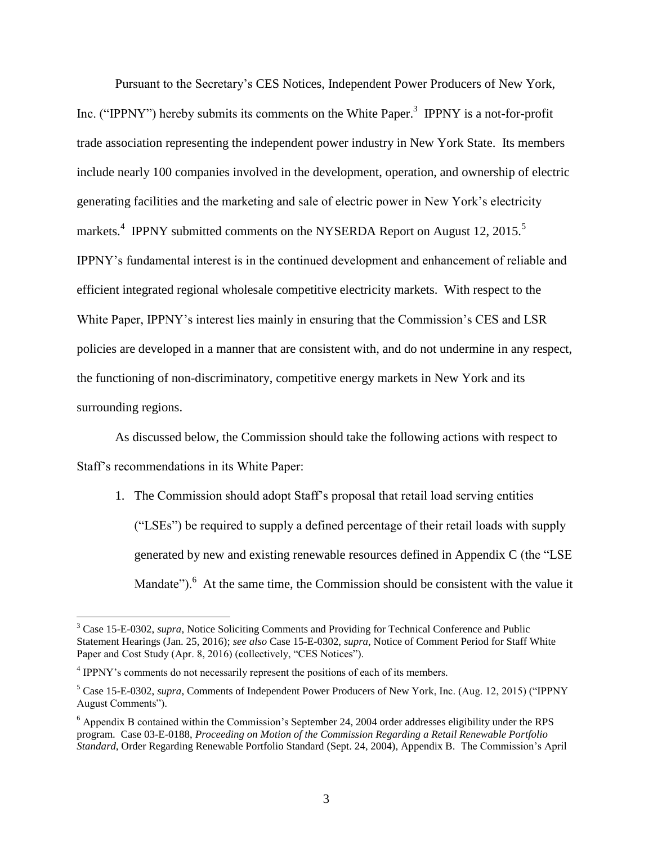Pursuant to the Secretary's CES Notices, Independent Power Producers of New York, Inc. ("IPPNY") hereby submits its comments on the White Paper.<sup>3</sup> IPPNY is a not-for-profit trade association representing the independent power industry in New York State. Its members include nearly 100 companies involved in the development, operation, and ownership of electric generating facilities and the marketing and sale of electric power in New York's electricity markets.<sup>4</sup> IPPNY submitted comments on the NYSERDA Report on August 12, 2015.<sup>5</sup> IPPNY's fundamental interest is in the continued development and enhancement of reliable and efficient integrated regional wholesale competitive electricity markets. With respect to the White Paper, IPPNY's interest lies mainly in ensuring that the Commission's CES and LSR policies are developed in a manner that are consistent with, and do not undermine in any respect, the functioning of non-discriminatory, competitive energy markets in New York and its surrounding regions.

As discussed below, the Commission should take the following actions with respect to Staff's recommendations in its White Paper:

1. The Commission should adopt Staff's proposal that retail load serving entities ("LSEs") be required to supply a defined percentage of their retail loads with supply generated by new and existing renewable resources defined in Appendix C (the "LSE Mandate"). $<sup>6</sup>$  At the same time, the Commission should be consistent with the value it</sup>

<sup>3</sup> Case 15-E-0302, *supra*, Notice Soliciting Comments and Providing for Technical Conference and Public Statement Hearings (Jan. 25, 2016); *see also* Case 15-E-0302, *supra*, Notice of Comment Period for Staff White Paper and Cost Study (Apr. 8, 2016) (collectively, "CES Notices").

<sup>&</sup>lt;sup>4</sup> IPPNY's comments do not necessarily represent the positions of each of its members.

<sup>5</sup> Case 15-E-0302, *supra*, Comments of Independent Power Producers of New York, Inc. (Aug. 12, 2015) ("IPPNY August Comments").

<sup>6</sup> Appendix B contained within the Commission's September 24, 2004 order addresses eligibility under the RPS program. Case 03-E-0188, *Proceeding on Motion of the Commission Regarding a Retail Renewable Portfolio Standard*, Order Regarding Renewable Portfolio Standard (Sept. 24, 2004), Appendix B. The Commission's April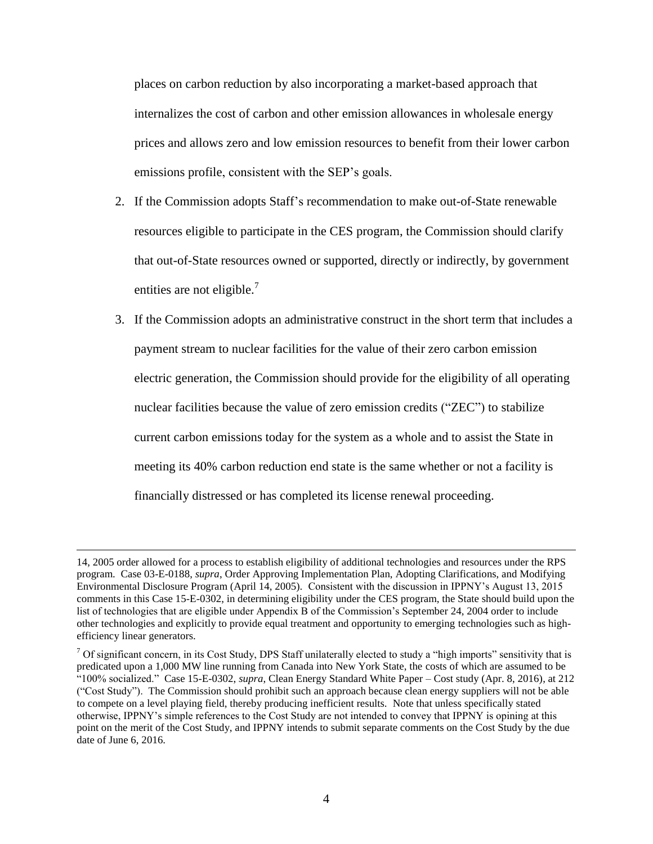places on carbon reduction by also incorporating a market-based approach that internalizes the cost of carbon and other emission allowances in wholesale energy prices and allows zero and low emission resources to benefit from their lower carbon emissions profile, consistent with the SEP's goals.

- 2. If the Commission adopts Staff's recommendation to make out-of-State renewable resources eligible to participate in the CES program, the Commission should clarify that out-of-State resources owned or supported, directly or indirectly, by government entities are not eligible.<sup>7</sup>
- 3. If the Commission adopts an administrative construct in the short term that includes a payment stream to nuclear facilities for the value of their zero carbon emission electric generation, the Commission should provide for the eligibility of all operating nuclear facilities because the value of zero emission credits ("ZEC") to stabilize current carbon emissions today for the system as a whole and to assist the State in meeting its 40% carbon reduction end state is the same whether or not a facility is financially distressed or has completed its license renewal proceeding.

<sup>14, 2005</sup> order allowed for a process to establish eligibility of additional technologies and resources under the RPS program. Case 03-E-0188, *supra*, Order Approving Implementation Plan, Adopting Clarifications, and Modifying Environmental Disclosure Program (April 14, 2005). Consistent with the discussion in IPPNY's August 13, 2015 comments in this Case 15-E-0302, in determining eligibility under the CES program, the State should build upon the list of technologies that are eligible under Appendix B of the Commission's September 24, 2004 order to include other technologies and explicitly to provide equal treatment and opportunity to emerging technologies such as highefficiency linear generators.

 $7$  Of significant concern, in its Cost Study, DPS Staff unilaterally elected to study a "high imports" sensitivity that is predicated upon a 1,000 MW line running from Canada into New York State, the costs of which are assumed to be "100% socialized." Case 15-E-0302, *supra*, Clean Energy Standard White Paper – Cost study (Apr. 8, 2016), at 212 ("Cost Study"). The Commission should prohibit such an approach because clean energy suppliers will not be able to compete on a level playing field, thereby producing inefficient results. Note that unless specifically stated otherwise, IPPNY's simple references to the Cost Study are not intended to convey that IPPNY is opining at this point on the merit of the Cost Study, and IPPNY intends to submit separate comments on the Cost Study by the due date of June 6, 2016.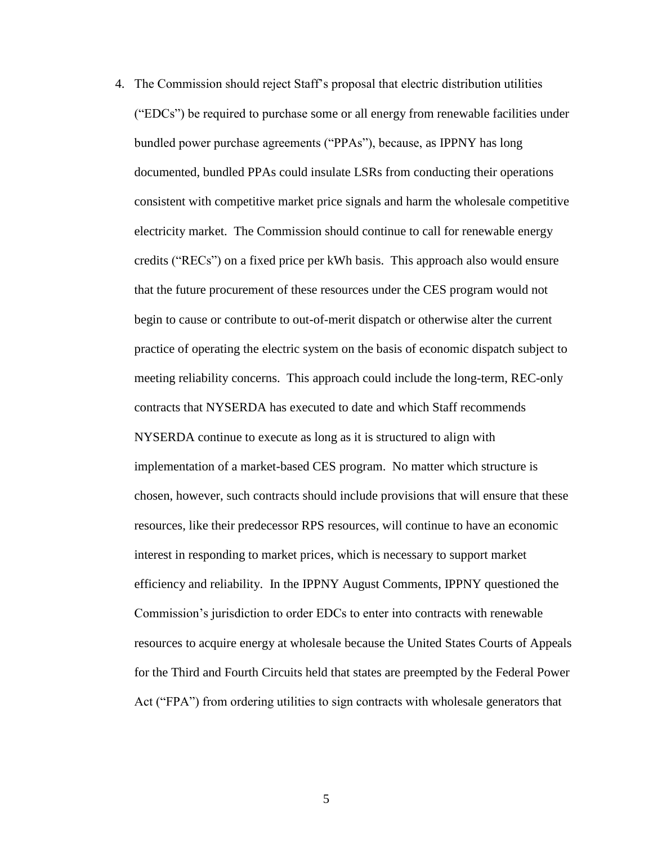4. The Commission should reject Staff's proposal that electric distribution utilities ("EDCs") be required to purchase some or all energy from renewable facilities under bundled power purchase agreements ("PPAs"), because, as IPPNY has long documented, bundled PPAs could insulate LSRs from conducting their operations consistent with competitive market price signals and harm the wholesale competitive electricity market. The Commission should continue to call for renewable energy credits ("RECs") on a fixed price per kWh basis. This approach also would ensure that the future procurement of these resources under the CES program would not begin to cause or contribute to out-of-merit dispatch or otherwise alter the current practice of operating the electric system on the basis of economic dispatch subject to meeting reliability concerns. This approach could include the long-term, REC-only contracts that NYSERDA has executed to date and which Staff recommends NYSERDA continue to execute as long as it is structured to align with implementation of a market-based CES program. No matter which structure is chosen, however, such contracts should include provisions that will ensure that these resources, like their predecessor RPS resources, will continue to have an economic interest in responding to market prices, which is necessary to support market efficiency and reliability. In the IPPNY August Comments, IPPNY questioned the Commission's jurisdiction to order EDCs to enter into contracts with renewable resources to acquire energy at wholesale because the United States Courts of Appeals for the Third and Fourth Circuits held that states are preempted by the Federal Power Act ("FPA") from ordering utilities to sign contracts with wholesale generators that

5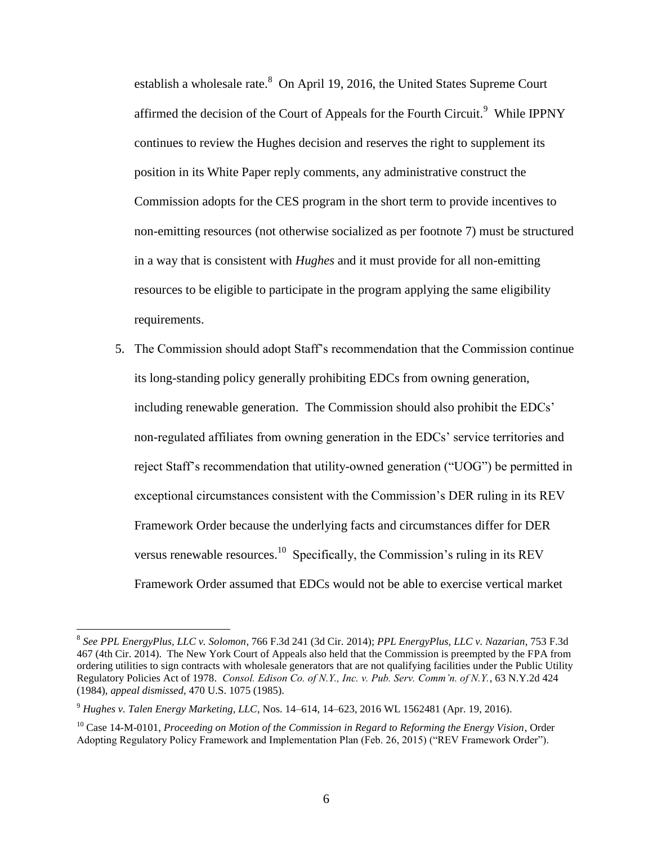establish a wholesale rate.<sup>8</sup> On April 19, 2016, the United States Supreme Court affirmed the decision of the Court of Appeals for the Fourth Circuit.<sup>9</sup> While IPPNY continues to review the Hughes decision and reserves the right to supplement its position in its White Paper reply comments, any administrative construct the Commission adopts for the CES program in the short term to provide incentives to non-emitting resources (not otherwise socialized as per footnote 7) must be structured in a way that is consistent with *Hughes* and it must provide for all non-emitting resources to be eligible to participate in the program applying the same eligibility requirements.

5. The Commission should adopt Staff's recommendation that the Commission continue its long-standing policy generally prohibiting EDCs from owning generation, including renewable generation. The Commission should also prohibit the EDCs' non-regulated affiliates from owning generation in the EDCs' service territories and reject Staff's recommendation that utility-owned generation ("UOG") be permitted in exceptional circumstances consistent with the Commission's DER ruling in its REV Framework Order because the underlying facts and circumstances differ for DER versus renewable resources.<sup>10</sup> Specifically, the Commission's ruling in its REV Framework Order assumed that EDCs would not be able to exercise vertical market

<sup>8</sup> *See PPL EnergyPlus, LLC v. Solomon*, 766 F.3d 241 (3d Cir. 2014); *PPL EnergyPlus, LLC v. Nazarian*, 753 F.3d 467 (4th Cir. 2014). The New York Court of Appeals also held that the Commission is preempted by the FPA from ordering utilities to sign contracts with wholesale generators that are not qualifying facilities under the Public Utility Regulatory Policies Act of 1978. *Consol. Edison Co. of N.Y., Inc. v. Pub. Serv. Comm'n. of N.Y.*, 63 N.Y.2d 424 (1984), *appeal dismissed*, 470 U.S. 1075 (1985).

<sup>9</sup> *Hughes v. Talen Energy Marketing, LLC*, Nos. 14–614, 14–623, 2016 WL 1562481 (Apr. 19, 2016).

<sup>10</sup> Case 14-M-0101, *Proceeding on Motion of the Commission in Regard to Reforming the Energy Vision*, Order Adopting Regulatory Policy Framework and Implementation Plan (Feb. 26, 2015) ("REV Framework Order").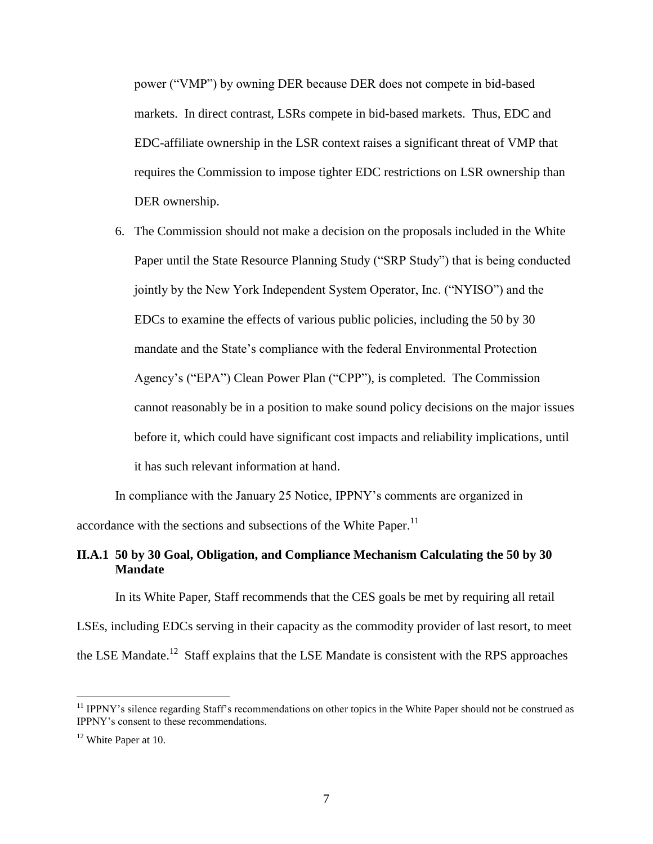power ("VMP") by owning DER because DER does not compete in bid-based markets. In direct contrast, LSRs compete in bid-based markets. Thus, EDC and EDC-affiliate ownership in the LSR context raises a significant threat of VMP that requires the Commission to impose tighter EDC restrictions on LSR ownership than DER ownership.

6. The Commission should not make a decision on the proposals included in the White Paper until the State Resource Planning Study ("SRP Study") that is being conducted jointly by the New York Independent System Operator, Inc. ("NYISO") and the EDCs to examine the effects of various public policies, including the 50 by 30 mandate and the State's compliance with the federal Environmental Protection Agency's ("EPA") Clean Power Plan ("CPP"), is completed. The Commission cannot reasonably be in a position to make sound policy decisions on the major issues before it, which could have significant cost impacts and reliability implications, until it has such relevant information at hand.

In compliance with the January 25 Notice, IPPNY's comments are organized in accordance with the sections and subsections of the White Paper.<sup>11</sup>

# **II.A.1 50 by 30 Goal, Obligation, and Compliance Mechanism Calculating the 50 by 30 Mandate**

In its White Paper, Staff recommends that the CES goals be met by requiring all retail

LSEs, including EDCs serving in their capacity as the commodity provider of last resort, to meet the LSE Mandate.<sup>12</sup> Staff explains that the LSE Mandate is consistent with the RPS approaches

<sup>&</sup>lt;sup>11</sup> IPPNY's silence regarding Staff's recommendations on other topics in the White Paper should not be construed as IPPNY's consent to these recommendations.

<sup>&</sup>lt;sup>12</sup> White Paper at 10.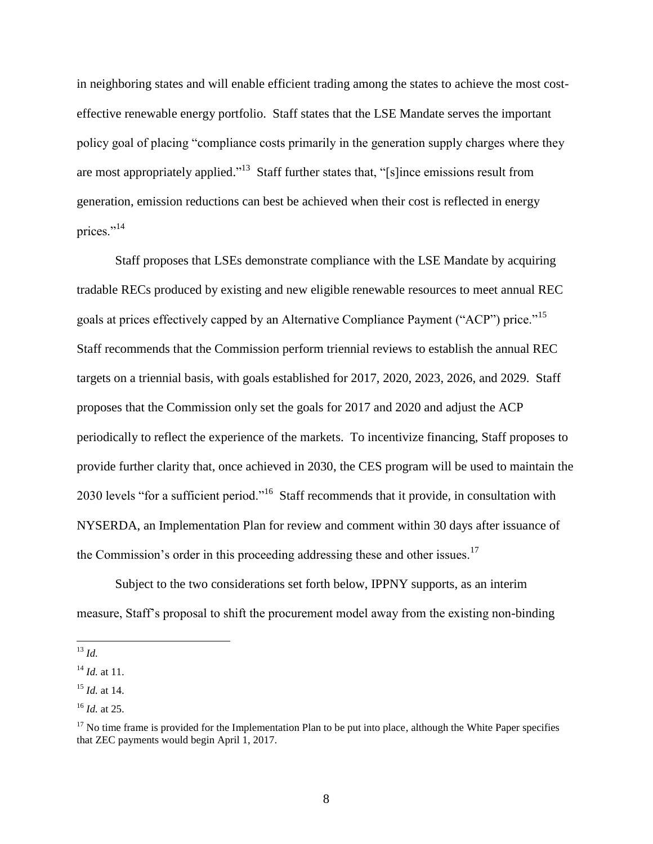in neighboring states and will enable efficient trading among the states to achieve the most costeffective renewable energy portfolio. Staff states that the LSE Mandate serves the important policy goal of placing "compliance costs primarily in the generation supply charges where they are most appropriately applied."<sup>13</sup> Staff further states that, "[s] ince emissions result from generation, emission reductions can best be achieved when their cost is reflected in energy prices."<sup>14</sup>

Staff proposes that LSEs demonstrate compliance with the LSE Mandate by acquiring tradable RECs produced by existing and new eligible renewable resources to meet annual REC goals at prices effectively capped by an Alternative Compliance Payment ("ACP") price."<sup>15</sup> Staff recommends that the Commission perform triennial reviews to establish the annual REC targets on a triennial basis, with goals established for 2017, 2020, 2023, 2026, and 2029. Staff proposes that the Commission only set the goals for 2017 and 2020 and adjust the ACP periodically to reflect the experience of the markets. To incentivize financing, Staff proposes to provide further clarity that, once achieved in 2030, the CES program will be used to maintain the 2030 levels "for a sufficient period."<sup>16</sup> Staff recommends that it provide, in consultation with NYSERDA, an Implementation Plan for review and comment within 30 days after issuance of the Commission's order in this proceeding addressing these and other issues.<sup>17</sup>

Subject to the two considerations set forth below, IPPNY supports, as an interim measure, Staff's proposal to shift the procurement model away from the existing non-binding

 $\overline{a}$ <sup>13</sup> *Id.*

 $^{14}$  *Id.* at 11.

<sup>15</sup> *Id.* at 14.

<sup>16</sup> *Id.* at 25.

 $17$  No time frame is provided for the Implementation Plan to be put into place, although the White Paper specifies that ZEC payments would begin April 1, 2017.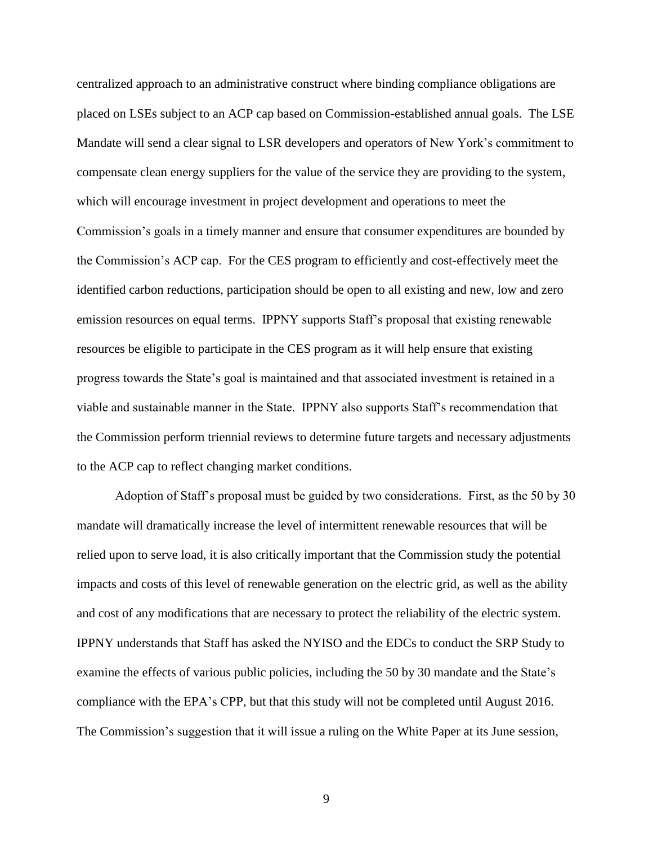centralized approach to an administrative construct where binding compliance obligations are placed on LSEs subject to an ACP cap based on Commission-established annual goals. The LSE Mandate will send a clear signal to LSR developers and operators of New York's commitment to compensate clean energy suppliers for the value of the service they are providing to the system, which will encourage investment in project development and operations to meet the Commission's goals in a timely manner and ensure that consumer expenditures are bounded by the Commission's ACP cap. For the CES program to efficiently and cost-effectively meet the identified carbon reductions, participation should be open to all existing and new, low and zero emission resources on equal terms. IPPNY supports Staff's proposal that existing renewable resources be eligible to participate in the CES program as it will help ensure that existing progress towards the State's goal is maintained and that associated investment is retained in a viable and sustainable manner in the State. IPPNY also supports Staff's recommendation that the Commission perform triennial reviews to determine future targets and necessary adjustments to the ACP cap to reflect changing market conditions.

Adoption of Staff's proposal must be guided by two considerations. First, as the 50 by 30 mandate will dramatically increase the level of intermittent renewable resources that will be relied upon to serve load, it is also critically important that the Commission study the potential impacts and costs of this level of renewable generation on the electric grid, as well as the ability and cost of any modifications that are necessary to protect the reliability of the electric system. IPPNY understands that Staff has asked the NYISO and the EDCs to conduct the SRP Study to examine the effects of various public policies, including the 50 by 30 mandate and the State's compliance with the EPA's CPP, but that this study will not be completed until August 2016. The Commission's suggestion that it will issue a ruling on the White Paper at its June session,

9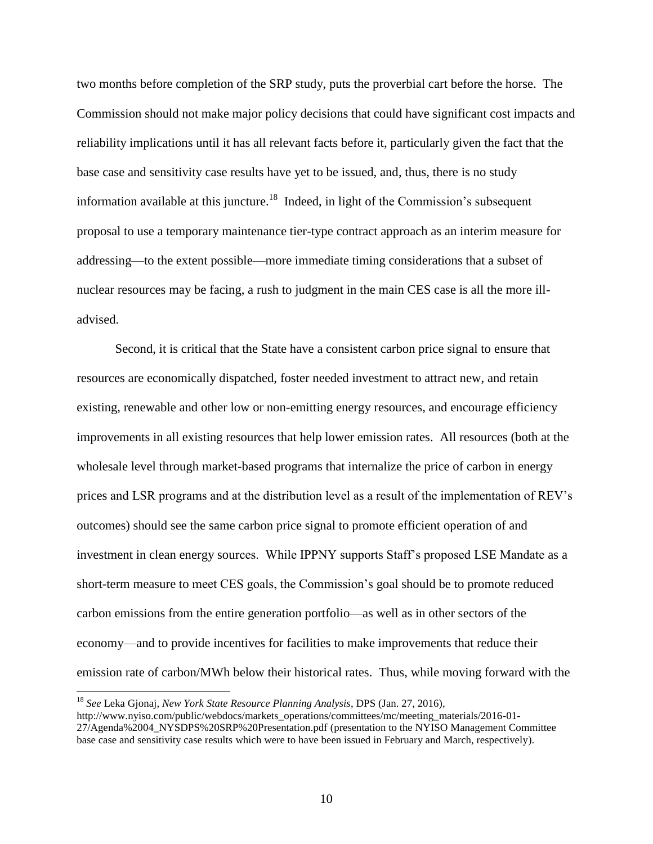two months before completion of the SRP study, puts the proverbial cart before the horse. The Commission should not make major policy decisions that could have significant cost impacts and reliability implications until it has all relevant facts before it, particularly given the fact that the base case and sensitivity case results have yet to be issued, and, thus, there is no study information available at this juncture.<sup>18</sup> Indeed, in light of the Commission's subsequent proposal to use a temporary maintenance tier-type contract approach as an interim measure for addressing—to the extent possible—more immediate timing considerations that a subset of nuclear resources may be facing, a rush to judgment in the main CES case is all the more illadvised.

Second, it is critical that the State have a consistent carbon price signal to ensure that resources are economically dispatched, foster needed investment to attract new, and retain existing, renewable and other low or non-emitting energy resources, and encourage efficiency improvements in all existing resources that help lower emission rates. All resources (both at the wholesale level through market-based programs that internalize the price of carbon in energy prices and LSR programs and at the distribution level as a result of the implementation of REV's outcomes) should see the same carbon price signal to promote efficient operation of and investment in clean energy sources. While IPPNY supports Staff's proposed LSE Mandate as a short-term measure to meet CES goals, the Commission's goal should be to promote reduced carbon emissions from the entire generation portfolio—as well as in other sectors of the economy—and to provide incentives for facilities to make improvements that reduce their emission rate of carbon/MWh below their historical rates. Thus, while moving forward with the

<sup>18</sup> *See* Leka Gjonaj, *New York State Resource Planning Analysis*, DPS (Jan. 27, 2016),

http://www.nyiso.com/public/webdocs/markets\_operations/committees/mc/meeting\_materials/2016-01- 27/Agenda%2004\_NYSDPS%20SRP%20Presentation.pdf (presentation to the NYISO Management Committee base case and sensitivity case results which were to have been issued in February and March, respectively).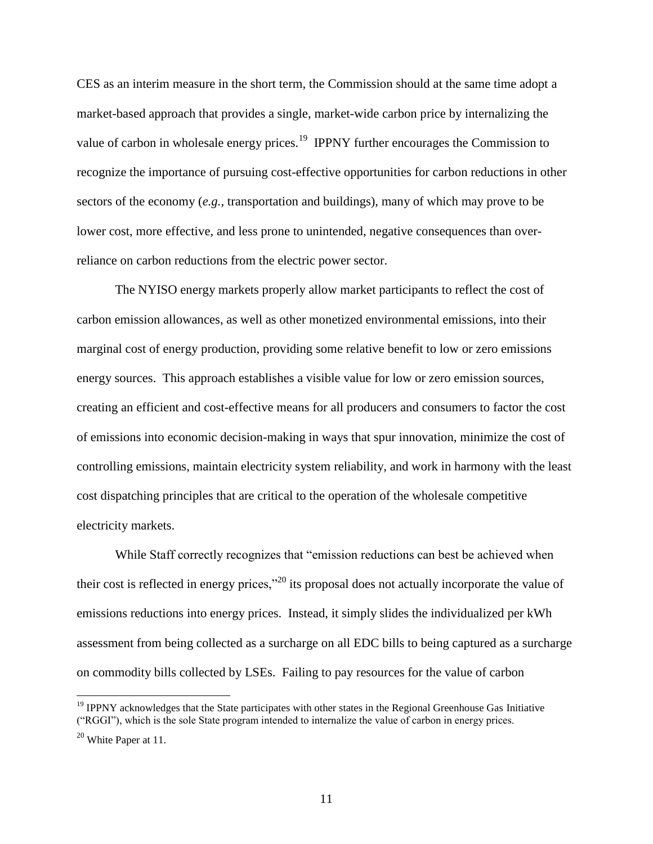CES as an interim measure in the short term, the Commission should at the same time adopt a market-based approach that provides a single, market-wide carbon price by internalizing the value of carbon in wholesale energy prices.<sup>19</sup> IPPNY further encourages the Commission to recognize the importance of pursuing cost-effective opportunities for carbon reductions in other sectors of the economy (*e.g.*, transportation and buildings), many of which may prove to be lower cost, more effective, and less prone to unintended, negative consequences than overreliance on carbon reductions from the electric power sector.

The NYISO energy markets properly allow market participants to reflect the cost of carbon emission allowances, as well as other monetized environmental emissions, into their marginal cost of energy production, providing some relative benefit to low or zero emissions energy sources. This approach establishes a visible value for low or zero emission sources, creating an efficient and cost-effective means for all producers and consumers to factor the cost of emissions into economic decision-making in ways that spur innovation, minimize the cost of controlling emissions, maintain electricity system reliability, and work in harmony with the least cost dispatching principles that are critical to the operation of the wholesale competitive electricity markets.

While Staff correctly recognizes that "emission reductions can best be achieved when their cost is reflected in energy prices,"<sup>20</sup> its proposal does not actually incorporate the value of emissions reductions into energy prices. Instead, it simply slides the individualized per kWh assessment from being collected as a surcharge on all EDC bills to being captured as a surcharge on commodity bills collected by LSEs. Failing to pay resources for the value of carbon

 $<sup>19</sup>$  IPPNY acknowledges that the State participates with other states in the Regional Greenhouse Gas Initiative</sup> ("RGGI"), which is the sole State program intended to internalize the value of carbon in energy prices.

<sup>20</sup> White Paper at 11.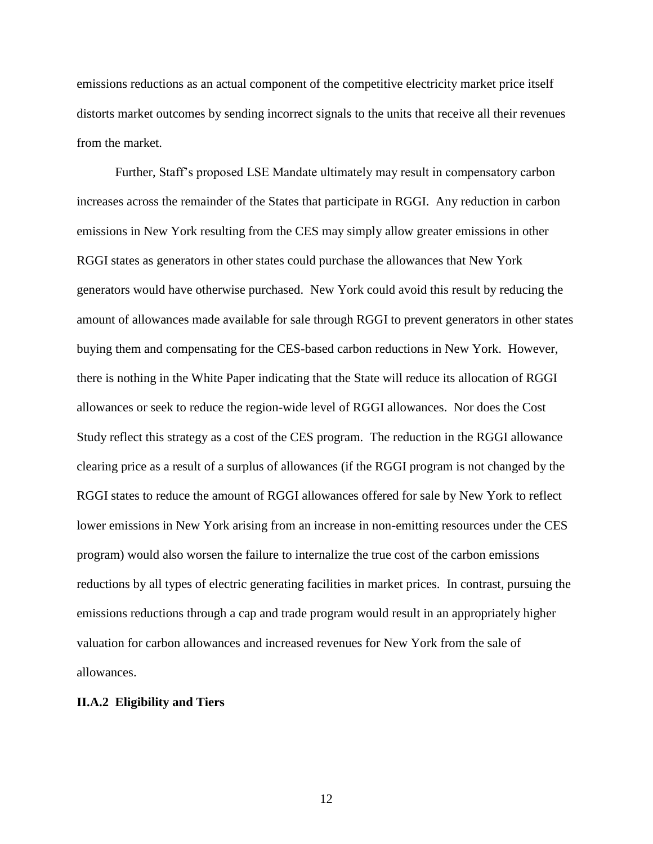emissions reductions as an actual component of the competitive electricity market price itself distorts market outcomes by sending incorrect signals to the units that receive all their revenues from the market.

Further, Staff's proposed LSE Mandate ultimately may result in compensatory carbon increases across the remainder of the States that participate in RGGI. Any reduction in carbon emissions in New York resulting from the CES may simply allow greater emissions in other RGGI states as generators in other states could purchase the allowances that New York generators would have otherwise purchased. New York could avoid this result by reducing the amount of allowances made available for sale through RGGI to prevent generators in other states buying them and compensating for the CES-based carbon reductions in New York. However, there is nothing in the White Paper indicating that the State will reduce its allocation of RGGI allowances or seek to reduce the region-wide level of RGGI allowances. Nor does the Cost Study reflect this strategy as a cost of the CES program. The reduction in the RGGI allowance clearing price as a result of a surplus of allowances (if the RGGI program is not changed by the RGGI states to reduce the amount of RGGI allowances offered for sale by New York to reflect lower emissions in New York arising from an increase in non-emitting resources under the CES program) would also worsen the failure to internalize the true cost of the carbon emissions reductions by all types of electric generating facilities in market prices. In contrast, pursuing the emissions reductions through a cap and trade program would result in an appropriately higher valuation for carbon allowances and increased revenues for New York from the sale of allowances.

#### **II.A.2 Eligibility and Tiers**

12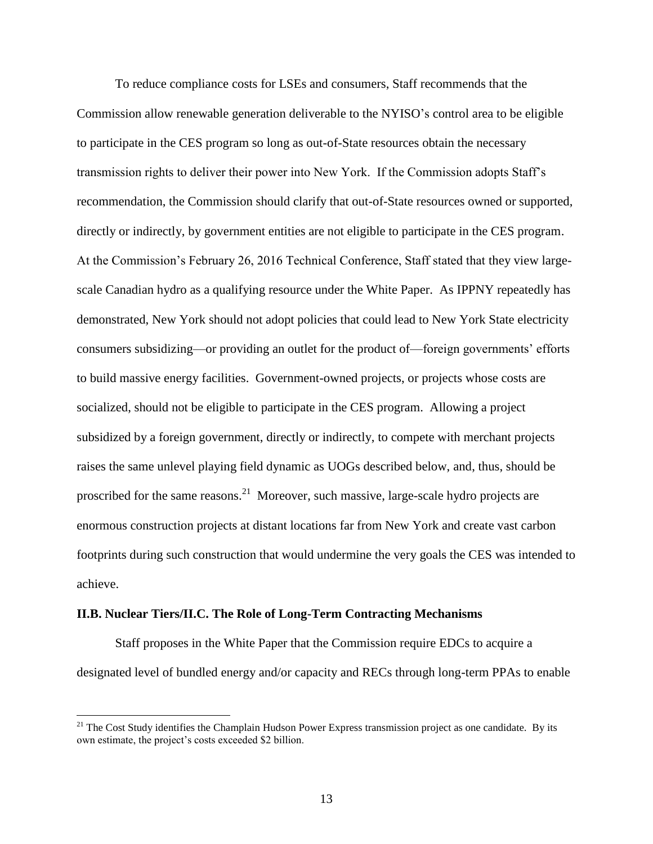To reduce compliance costs for LSEs and consumers, Staff recommends that the Commission allow renewable generation deliverable to the NYISO's control area to be eligible to participate in the CES program so long as out-of-State resources obtain the necessary transmission rights to deliver their power into New York. If the Commission adopts Staff's recommendation, the Commission should clarify that out-of-State resources owned or supported, directly or indirectly, by government entities are not eligible to participate in the CES program. At the Commission's February 26, 2016 Technical Conference, Staff stated that they view largescale Canadian hydro as a qualifying resource under the White Paper. As IPPNY repeatedly has demonstrated, New York should not adopt policies that could lead to New York State electricity consumers subsidizing—or providing an outlet for the product of—foreign governments' efforts to build massive energy facilities. Government-owned projects, or projects whose costs are socialized, should not be eligible to participate in the CES program. Allowing a project subsidized by a foreign government, directly or indirectly, to compete with merchant projects raises the same unlevel playing field dynamic as UOGs described below, and, thus, should be proscribed for the same reasons.<sup>21</sup> Moreover, such massive, large-scale hydro projects are enormous construction projects at distant locations far from New York and create vast carbon footprints during such construction that would undermine the very goals the CES was intended to achieve.

#### **II.B. Nuclear Tiers/II.C. The Role of Long-Term Contracting Mechanisms**

 $\overline{a}$ 

Staff proposes in the White Paper that the Commission require EDCs to acquire a designated level of bundled energy and/or capacity and RECs through long-term PPAs to enable

<sup>&</sup>lt;sup>21</sup> The Cost Study identifies the Champlain Hudson Power Express transmission project as one candidate. By its own estimate, the project's costs exceeded \$2 billion.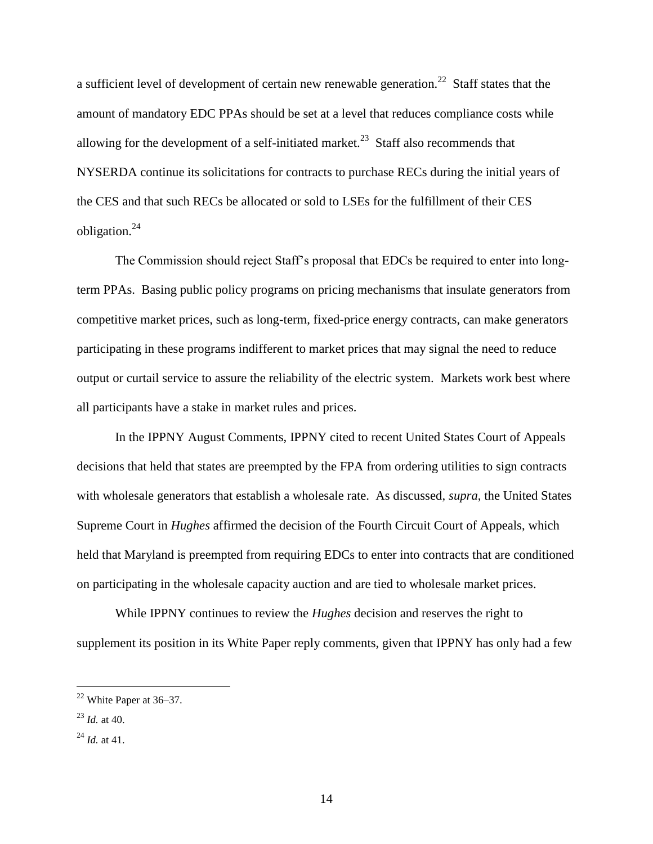a sufficient level of development of certain new renewable generation.<sup>22</sup> Staff states that the amount of mandatory EDC PPAs should be set at a level that reduces compliance costs while allowing for the development of a self-initiated market.<sup>23</sup> Staff also recommends that NYSERDA continue its solicitations for contracts to purchase RECs during the initial years of the CES and that such RECs be allocated or sold to LSEs for the fulfillment of their CES obligation.<sup>24</sup>

The Commission should reject Staff's proposal that EDCs be required to enter into longterm PPAs. Basing public policy programs on pricing mechanisms that insulate generators from competitive market prices, such as long-term, fixed-price energy contracts, can make generators participating in these programs indifferent to market prices that may signal the need to reduce output or curtail service to assure the reliability of the electric system. Markets work best where all participants have a stake in market rules and prices.

In the IPPNY August Comments, IPPNY cited to recent United States Court of Appeals decisions that held that states are preempted by the FPA from ordering utilities to sign contracts with wholesale generators that establish a wholesale rate. As discussed, *supra*, the United States Supreme Court in *Hughes* affirmed the decision of the Fourth Circuit Court of Appeals, which held that Maryland is preempted from requiring EDCs to enter into contracts that are conditioned on participating in the wholesale capacity auction and are tied to wholesale market prices.

While IPPNY continues to review the *Hughes* decision and reserves the right to supplement its position in its White Paper reply comments, given that IPPNY has only had a few

 $22$  White Paper at 36–37.

 $^{23}$  *Id.* at 40.

<sup>24</sup> *Id.* at 41.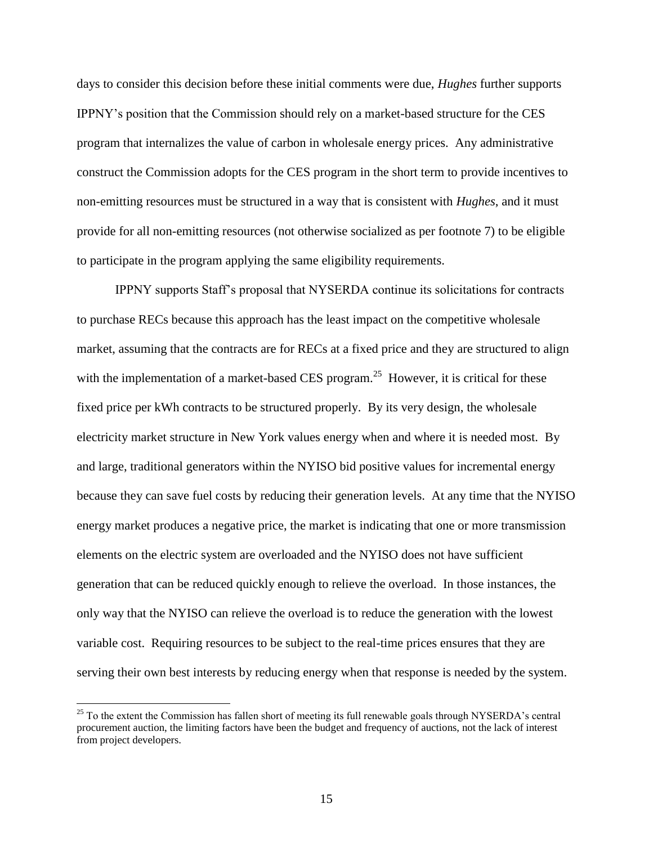days to consider this decision before these initial comments were due, *Hughes* further supports IPPNY's position that the Commission should rely on a market-based structure for the CES program that internalizes the value of carbon in wholesale energy prices. Any administrative construct the Commission adopts for the CES program in the short term to provide incentives to non-emitting resources must be structured in a way that is consistent with *Hughes*, and it must provide for all non-emitting resources (not otherwise socialized as per footnote 7) to be eligible to participate in the program applying the same eligibility requirements.

IPPNY supports Staff's proposal that NYSERDA continue its solicitations for contracts to purchase RECs because this approach has the least impact on the competitive wholesale market, assuming that the contracts are for RECs at a fixed price and they are structured to align with the implementation of a market-based CES program.<sup>25</sup> However, it is critical for these fixed price per kWh contracts to be structured properly. By its very design, the wholesale electricity market structure in New York values energy when and where it is needed most. By and large, traditional generators within the NYISO bid positive values for incremental energy because they can save fuel costs by reducing their generation levels. At any time that the NYISO energy market produces a negative price, the market is indicating that one or more transmission elements on the electric system are overloaded and the NYISO does not have sufficient generation that can be reduced quickly enough to relieve the overload. In those instances, the only way that the NYISO can relieve the overload is to reduce the generation with the lowest variable cost. Requiring resources to be subject to the real-time prices ensures that they are serving their own best interests by reducing energy when that response is needed by the system.

<sup>&</sup>lt;sup>25</sup> To the extent the Commission has fallen short of meeting its full renewable goals through NYSERDA's central procurement auction, the limiting factors have been the budget and frequency of auctions, not the lack of interest from project developers.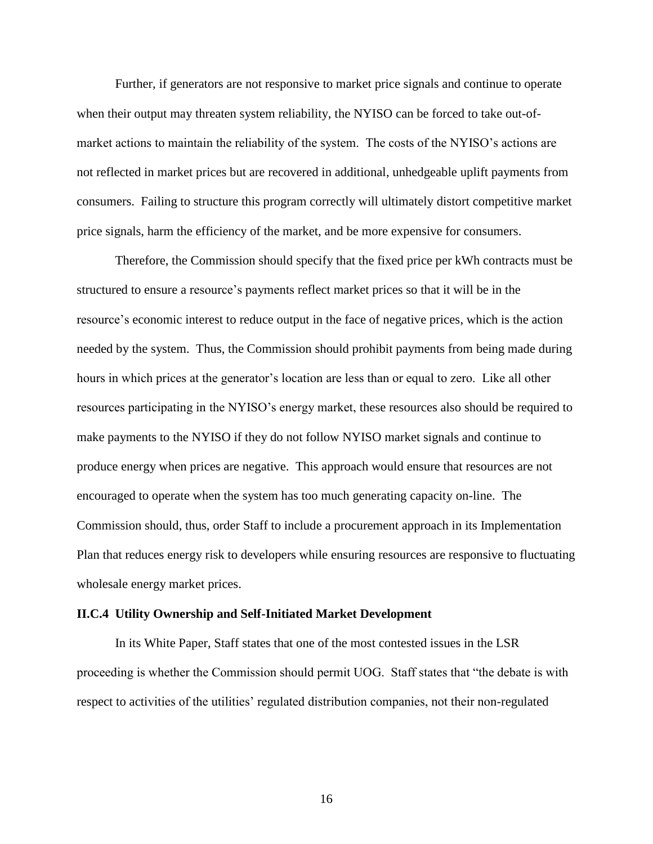Further, if generators are not responsive to market price signals and continue to operate when their output may threaten system reliability, the NYISO can be forced to take out-ofmarket actions to maintain the reliability of the system. The costs of the NYISO's actions are not reflected in market prices but are recovered in additional, unhedgeable uplift payments from consumers. Failing to structure this program correctly will ultimately distort competitive market price signals, harm the efficiency of the market, and be more expensive for consumers.

Therefore, the Commission should specify that the fixed price per kWh contracts must be structured to ensure a resource's payments reflect market prices so that it will be in the resource's economic interest to reduce output in the face of negative prices, which is the action needed by the system. Thus, the Commission should prohibit payments from being made during hours in which prices at the generator's location are less than or equal to zero. Like all other resources participating in the NYISO's energy market, these resources also should be required to make payments to the NYISO if they do not follow NYISO market signals and continue to produce energy when prices are negative. This approach would ensure that resources are not encouraged to operate when the system has too much generating capacity on-line. The Commission should, thus, order Staff to include a procurement approach in its Implementation Plan that reduces energy risk to developers while ensuring resources are responsive to fluctuating wholesale energy market prices.

#### **II.C.4 Utility Ownership and Self-Initiated Market Development**

In its White Paper, Staff states that one of the most contested issues in the LSR proceeding is whether the Commission should permit UOG. Staff states that "the debate is with respect to activities of the utilities' regulated distribution companies, not their non-regulated

16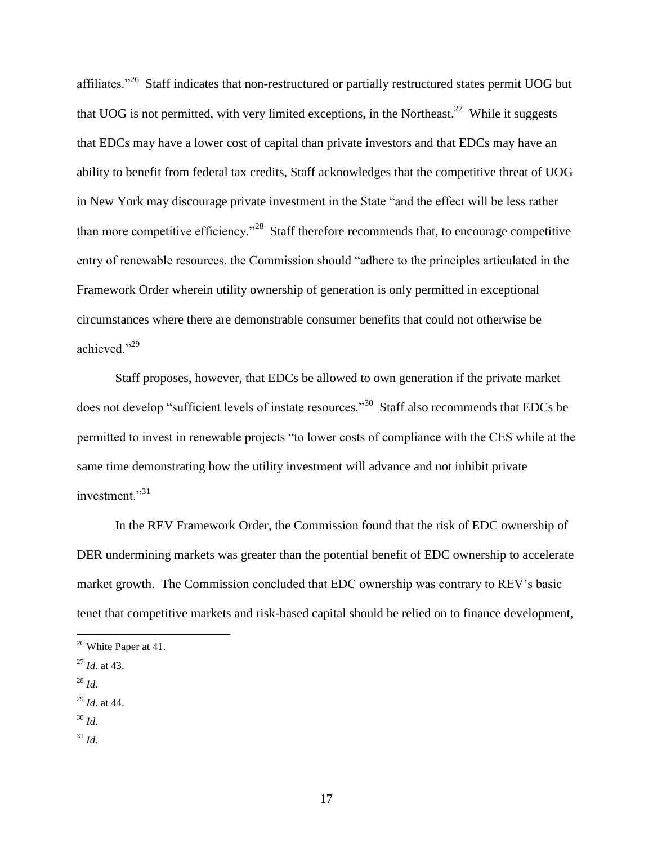affiliates."<sup>26</sup> Staff indicates that non-restructured or partially restructured states permit UOG but that UOG is not permitted, with very limited exceptions, in the Northeast.<sup>27</sup> While it suggests that EDCs may have a lower cost of capital than private investors and that EDCs may have an ability to benefit from federal tax credits, Staff acknowledges that the competitive threat of UOG in New York may discourage private investment in the State "and the effect will be less rather than more competitive efficiency."<sup>28</sup> Staff therefore recommends that, to encourage competitive entry of renewable resources, the Commission should "adhere to the principles articulated in the Framework Order wherein utility ownership of generation is only permitted in exceptional circumstances where there are demonstrable consumer benefits that could not otherwise be achieved."29

Staff proposes, however, that EDCs be allowed to own generation if the private market does not develop "sufficient levels of instate resources."<sup>30</sup> Staff also recommends that EDCs be permitted to invest in renewable projects "to lower costs of compliance with the CES while at the same time demonstrating how the utility investment will advance and not inhibit private investment."<sup>31</sup>

In the REV Framework Order, the Commission found that the risk of EDC ownership of DER undermining markets was greater than the potential benefit of EDC ownership to accelerate market growth. The Commission concluded that EDC ownership was contrary to REV's basic tenet that competitive markets and risk-based capital should be relied on to finance development,

- <sup>27</sup> *Id.* at 43.
- <sup>28</sup> *Id.*

- <sup>29</sup> *Id.* at 44.
- <sup>30</sup> *Id.*
- <sup>31</sup> *Id.*

<sup>&</sup>lt;sup>26</sup> White Paper at 41.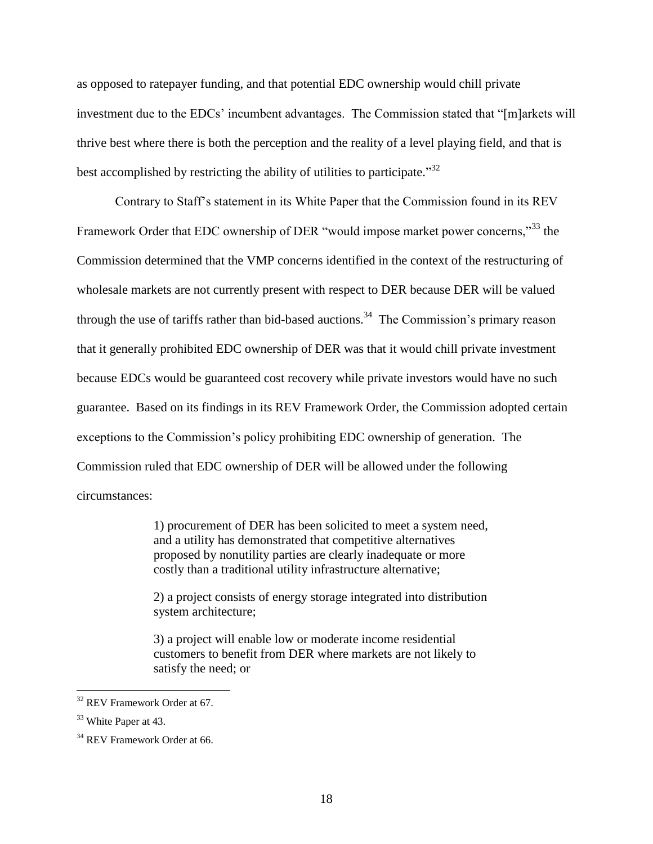as opposed to ratepayer funding, and that potential EDC ownership would chill private investment due to the EDCs' incumbent advantages. The Commission stated that "[m]arkets will thrive best where there is both the perception and the reality of a level playing field, and that is best accomplished by restricting the ability of utilities to participate.<sup>32</sup>

Contrary to Staff's statement in its White Paper that the Commission found in its REV Framework Order that EDC ownership of DER "would impose market power concerns,"<sup>33</sup> the Commission determined that the VMP concerns identified in the context of the restructuring of wholesale markets are not currently present with respect to DER because DER will be valued through the use of tariffs rather than bid-based auctions.<sup>34</sup> The Commission's primary reason that it generally prohibited EDC ownership of DER was that it would chill private investment because EDCs would be guaranteed cost recovery while private investors would have no such guarantee. Based on its findings in its REV Framework Order, the Commission adopted certain exceptions to the Commission's policy prohibiting EDC ownership of generation. The Commission ruled that EDC ownership of DER will be allowed under the following circumstances:

> 1) procurement of DER has been solicited to meet a system need, and a utility has demonstrated that competitive alternatives proposed by nonutility parties are clearly inadequate or more costly than a traditional utility infrastructure alternative;

> 2) a project consists of energy storage integrated into distribution system architecture;

3) a project will enable low or moderate income residential customers to benefit from DER where markets are not likely to satisfy the need; or

<sup>&</sup>lt;sup>32</sup> REV Framework Order at 67.

<sup>&</sup>lt;sup>33</sup> White Paper at 43.

<sup>&</sup>lt;sup>34</sup> REV Framework Order at 66.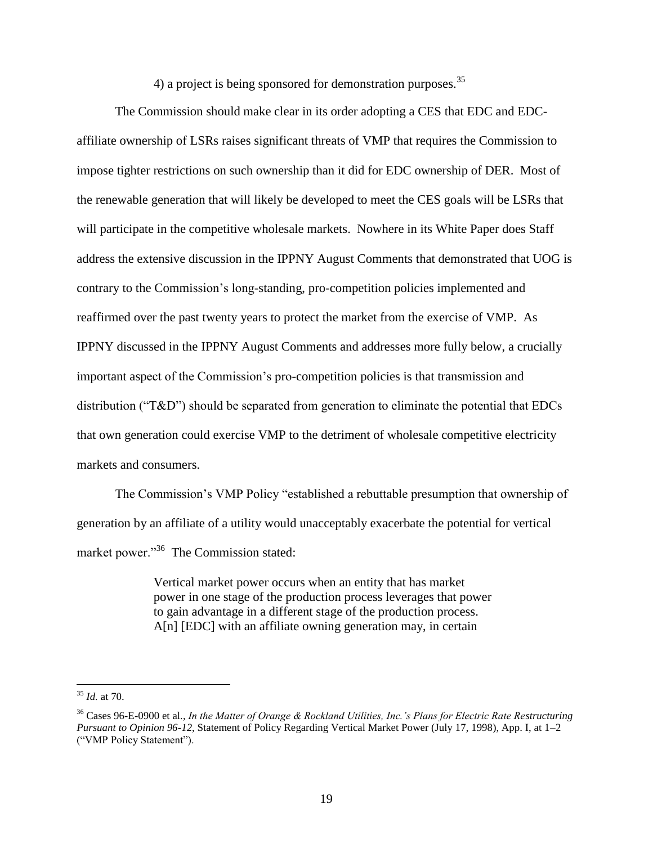4) a project is being sponsored for demonstration purposes.  $35$ 

The Commission should make clear in its order adopting a CES that EDC and EDCaffiliate ownership of LSRs raises significant threats of VMP that requires the Commission to impose tighter restrictions on such ownership than it did for EDC ownership of DER. Most of the renewable generation that will likely be developed to meet the CES goals will be LSRs that will participate in the competitive wholesale markets. Nowhere in its White Paper does Staff address the extensive discussion in the IPPNY August Comments that demonstrated that UOG is contrary to the Commission's long-standing, pro-competition policies implemented and reaffirmed over the past twenty years to protect the market from the exercise of VMP. As IPPNY discussed in the IPPNY August Comments and addresses more fully below, a crucially important aspect of the Commission's pro-competition policies is that transmission and distribution ("T&D") should be separated from generation to eliminate the potential that EDCs that own generation could exercise VMP to the detriment of wholesale competitive electricity markets and consumers.

The Commission's VMP Policy "established a rebuttable presumption that ownership of generation by an affiliate of a utility would unacceptably exacerbate the potential for vertical market power."<sup>36</sup> The Commission stated:

> Vertical market power occurs when an entity that has market power in one stage of the production process leverages that power to gain advantage in a different stage of the production process. A[n] [EDC] with an affiliate owning generation may, in certain

<sup>35</sup> *Id.* at 70.

<sup>36</sup> Cases 96-E-0900 et al*.*, *In the Matter of Orange & Rockland Utilities, Inc.'s Plans for Electric Rate Restructuring Pursuant to Opinion 96-12*, Statement of Policy Regarding Vertical Market Power (July 17, 1998), App. I, at 1–2 ("VMP Policy Statement").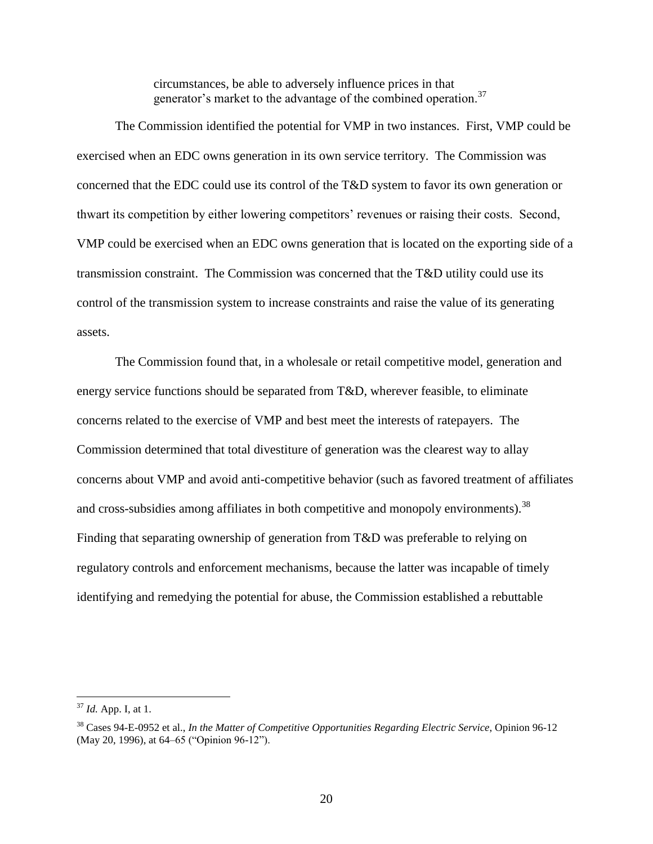circumstances, be able to adversely influence prices in that generator's market to the advantage of the combined operation.<sup>37</sup>

The Commission identified the potential for VMP in two instances. First, VMP could be exercised when an EDC owns generation in its own service territory. The Commission was concerned that the EDC could use its control of the T&D system to favor its own generation or thwart its competition by either lowering competitors' revenues or raising their costs. Second, VMP could be exercised when an EDC owns generation that is located on the exporting side of a transmission constraint. The Commission was concerned that the T&D utility could use its control of the transmission system to increase constraints and raise the value of its generating assets.

The Commission found that, in a wholesale or retail competitive model, generation and energy service functions should be separated from T&D, wherever feasible, to eliminate concerns related to the exercise of VMP and best meet the interests of ratepayers. The Commission determined that total divestiture of generation was the clearest way to allay concerns about VMP and avoid anti-competitive behavior (such as favored treatment of affiliates and cross-subsidies among affiliates in both competitive and monopoly environments).  $38$ Finding that separating ownership of generation from T&D was preferable to relying on regulatory controls and enforcement mechanisms, because the latter was incapable of timely identifying and remedying the potential for abuse, the Commission established a rebuttable

<sup>37</sup> *Id.* App. I, at 1.

<sup>38</sup> Cases 94-E-0952 et al., *In the Matter of Competitive Opportunities Regarding Electric Service*, Opinion 96-12 (May 20, 1996), at 64–65 ("Opinion 96-12").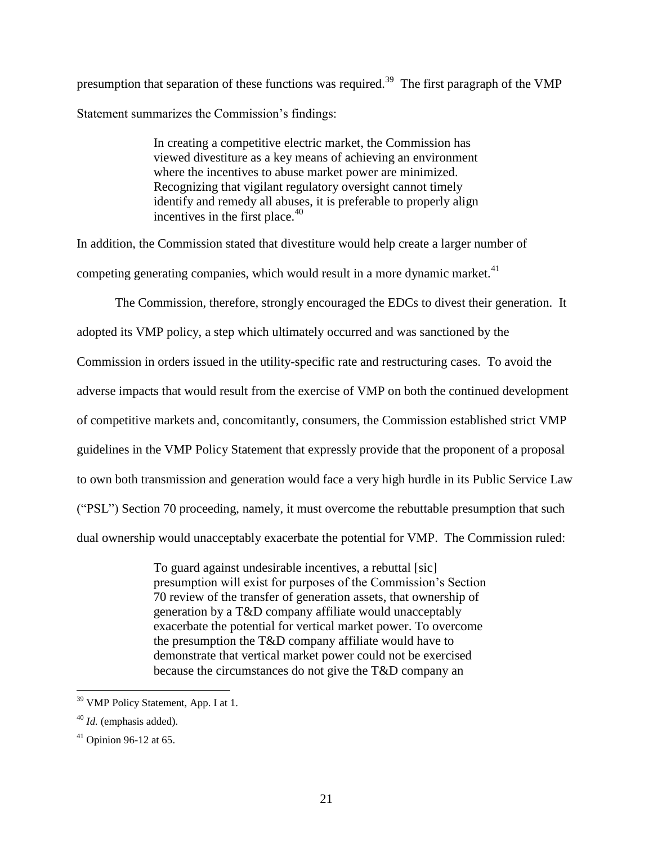presumption that separation of these functions was required.<sup>39</sup> The first paragraph of the VMP Statement summarizes the Commission's findings:

> In creating a competitive electric market, the Commission has viewed divestiture as a key means of achieving an environment where the incentives to abuse market power are minimized. Recognizing that vigilant regulatory oversight cannot timely identify and remedy all abuses, it is preferable to properly align incentives in the first place. $40$

In addition, the Commission stated that divestiture would help create a larger number of competing generating companies, which would result in a more dynamic market.<sup>41</sup>

The Commission, therefore, strongly encouraged the EDCs to divest their generation. It adopted its VMP policy, a step which ultimately occurred and was sanctioned by the Commission in orders issued in the utility-specific rate and restructuring cases. To avoid the adverse impacts that would result from the exercise of VMP on both the continued development of competitive markets and, concomitantly, consumers, the Commission established strict VMP guidelines in the VMP Policy Statement that expressly provide that the proponent of a proposal to own both transmission and generation would face a very high hurdle in its Public Service Law ("PSL") Section 70 proceeding, namely, it must overcome the rebuttable presumption that such dual ownership would unacceptably exacerbate the potential for VMP. The Commission ruled:

> To guard against undesirable incentives, a rebuttal [sic] presumption will exist for purposes of the Commission's Section 70 review of the transfer of generation assets, that ownership of generation by a T&D company affiliate would unacceptably exacerbate the potential for vertical market power. To overcome the presumption the T&D company affiliate would have to demonstrate that vertical market power could not be exercised because the circumstances do not give the T&D company an

<sup>&</sup>lt;sup>39</sup> VMP Policy Statement, App. I at 1.

<sup>40</sup> *Id.* (emphasis added).

 $41$  Opinion 96-12 at 65.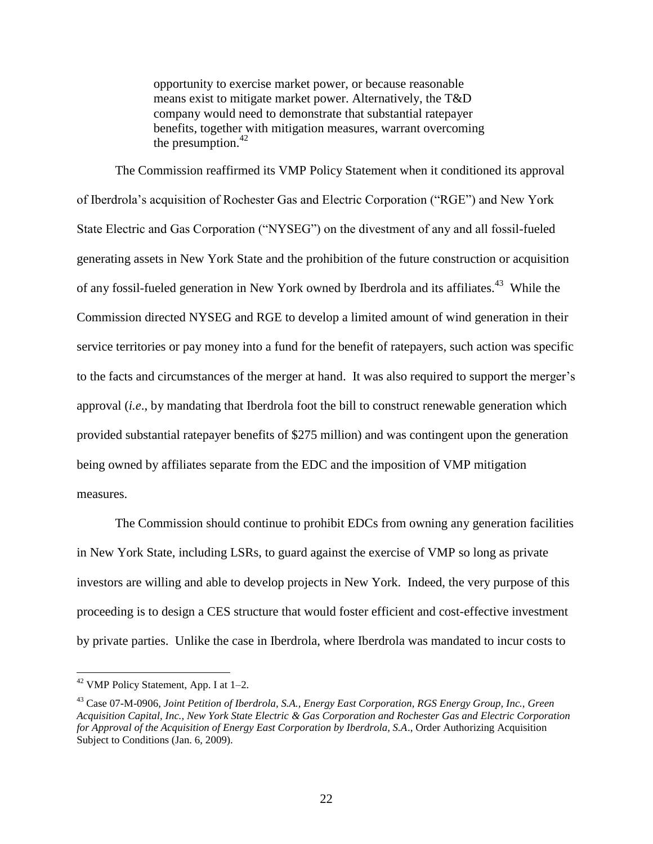opportunity to exercise market power, or because reasonable means exist to mitigate market power. Alternatively, the T&D company would need to demonstrate that substantial ratepayer benefits, together with mitigation measures, warrant overcoming the presumption. $42$ 

The Commission reaffirmed its VMP Policy Statement when it conditioned its approval of Iberdrola's acquisition of Rochester Gas and Electric Corporation ("RGE") and New York State Electric and Gas Corporation ("NYSEG") on the divestment of any and all fossil-fueled generating assets in New York State and the prohibition of the future construction or acquisition of any fossil-fueled generation in New York owned by Iberdrola and its affiliates.<sup>43</sup> While the Commission directed NYSEG and RGE to develop a limited amount of wind generation in their service territories or pay money into a fund for the benefit of ratepayers, such action was specific to the facts and circumstances of the merger at hand. It was also required to support the merger's approval (*i.e*., by mandating that Iberdrola foot the bill to construct renewable generation which provided substantial ratepayer benefits of \$275 million) and was contingent upon the generation being owned by affiliates separate from the EDC and the imposition of VMP mitigation measures.

The Commission should continue to prohibit EDCs from owning any generation facilities in New York State, including LSRs, to guard against the exercise of VMP so long as private investors are willing and able to develop projects in New York. Indeed, the very purpose of this proceeding is to design a CES structure that would foster efficient and cost-effective investment by private parties. Unlike the case in Iberdrola, where Iberdrola was mandated to incur costs to

 $42$  VMP Policy Statement, App. I at 1–2.

<sup>43</sup> Case 07-M-0906, *Joint Petition of Iberdrola, S.A., Energy East Corporation, RGS Energy Group, Inc., Green Acquisition Capital, Inc., New York State Electric & Gas Corporation and Rochester Gas and Electric Corporation for Approval of the Acquisition of Energy East Corporation by Iberdrola, S.A*., Order Authorizing Acquisition Subject to Conditions (Jan. 6, 2009).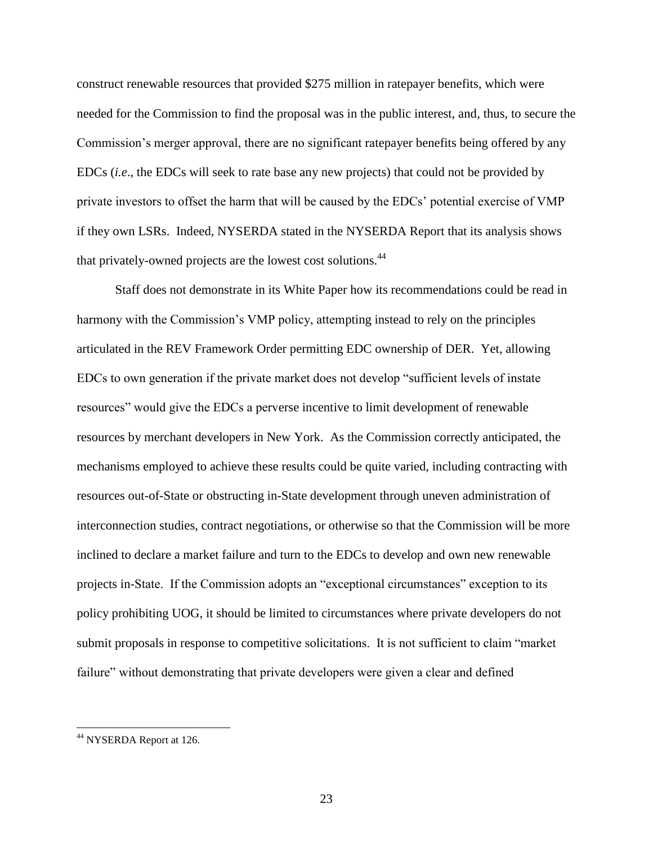construct renewable resources that provided \$275 million in ratepayer benefits, which were needed for the Commission to find the proposal was in the public interest, and, thus, to secure the Commission's merger approval, there are no significant ratepayer benefits being offered by any EDCs (*i.e*., the EDCs will seek to rate base any new projects) that could not be provided by private investors to offset the harm that will be caused by the EDCs' potential exercise of VMP if they own LSRs. Indeed, NYSERDA stated in the NYSERDA Report that its analysis shows that privately-owned projects are the lowest cost solutions.<sup>44</sup>

Staff does not demonstrate in its White Paper how its recommendations could be read in harmony with the Commission's VMP policy, attempting instead to rely on the principles articulated in the REV Framework Order permitting EDC ownership of DER. Yet, allowing EDCs to own generation if the private market does not develop "sufficient levels of instate resources" would give the EDCs a perverse incentive to limit development of renewable resources by merchant developers in New York. As the Commission correctly anticipated, the mechanisms employed to achieve these results could be quite varied, including contracting with resources out-of-State or obstructing in-State development through uneven administration of interconnection studies, contract negotiations, or otherwise so that the Commission will be more inclined to declare a market failure and turn to the EDCs to develop and own new renewable projects in-State. If the Commission adopts an "exceptional circumstances" exception to its policy prohibiting UOG, it should be limited to circumstances where private developers do not submit proposals in response to competitive solicitations. It is not sufficient to claim "market failure" without demonstrating that private developers were given a clear and defined

<sup>44</sup> NYSERDA Report at 126*.*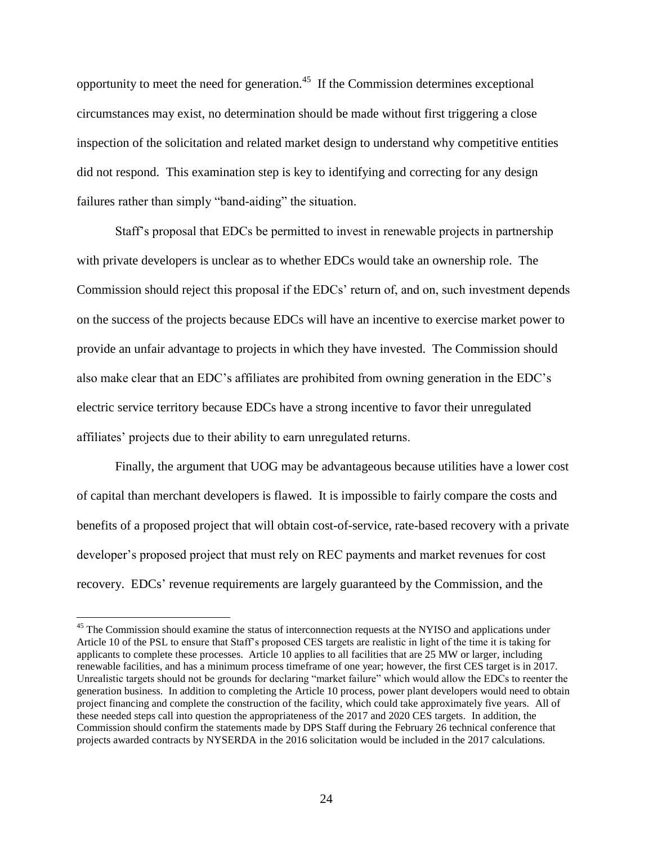opportunity to meet the need for generation.<sup>45</sup> If the Commission determines exceptional circumstances may exist, no determination should be made without first triggering a close inspection of the solicitation and related market design to understand why competitive entities did not respond. This examination step is key to identifying and correcting for any design failures rather than simply "band-aiding" the situation.

Staff's proposal that EDCs be permitted to invest in renewable projects in partnership with private developers is unclear as to whether EDCs would take an ownership role. The Commission should reject this proposal if the EDCs' return of, and on, such investment depends on the success of the projects because EDCs will have an incentive to exercise market power to provide an unfair advantage to projects in which they have invested. The Commission should also make clear that an EDC's affiliates are prohibited from owning generation in the EDC's electric service territory because EDCs have a strong incentive to favor their unregulated affiliates' projects due to their ability to earn unregulated returns.

Finally, the argument that UOG may be advantageous because utilities have a lower cost of capital than merchant developers is flawed. It is impossible to fairly compare the costs and benefits of a proposed project that will obtain cost-of-service, rate-based recovery with a private developer's proposed project that must rely on REC payments and market revenues for cost recovery. EDCs' revenue requirements are largely guaranteed by the Commission, and the

<sup>&</sup>lt;sup>45</sup> The Commission should examine the status of interconnection requests at the NYISO and applications under Article 10 of the PSL to ensure that Staff's proposed CES targets are realistic in light of the time it is taking for applicants to complete these processes. Article 10 applies to all facilities that are 25 MW or larger, including renewable facilities, and has a minimum process timeframe of one year; however, the first CES target is in 2017. Unrealistic targets should not be grounds for declaring "market failure" which would allow the EDCs to reenter the generation business. In addition to completing the Article 10 process, power plant developers would need to obtain project financing and complete the construction of the facility, which could take approximately five years. All of these needed steps call into question the appropriateness of the 2017 and 2020 CES targets. In addition, the Commission should confirm the statements made by DPS Staff during the February 26 technical conference that projects awarded contracts by NYSERDA in the 2016 solicitation would be included in the 2017 calculations.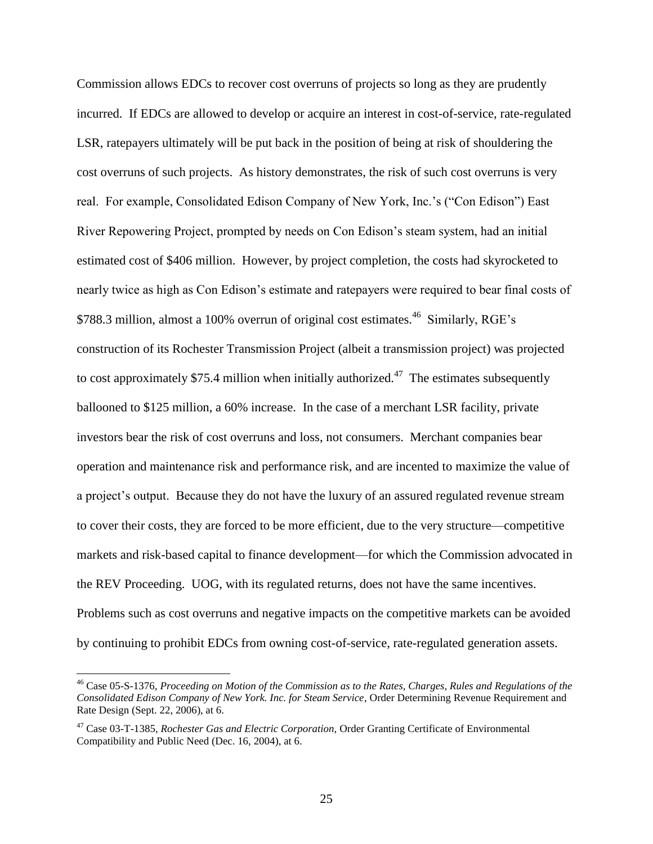Commission allows EDCs to recover cost overruns of projects so long as they are prudently incurred. If EDCs are allowed to develop or acquire an interest in cost-of-service, rate-regulated LSR, ratepayers ultimately will be put back in the position of being at risk of shouldering the cost overruns of such projects. As history demonstrates, the risk of such cost overruns is very real. For example, Consolidated Edison Company of New York, Inc.'s ("Con Edison") East River Repowering Project, prompted by needs on Con Edison's steam system, had an initial estimated cost of \$406 million. However, by project completion, the costs had skyrocketed to nearly twice as high as Con Edison's estimate and ratepayers were required to bear final costs of \$788.3 million, almost a 100% overrun of original cost estimates.<sup>46</sup> Similarly, RGE's construction of its Rochester Transmission Project (albeit a transmission project) was projected to cost approximately \$75.4 million when initially authorized.<sup>47</sup> The estimates subsequently ballooned to \$125 million, a 60% increase. In the case of a merchant LSR facility, private investors bear the risk of cost overruns and loss, not consumers. Merchant companies bear operation and maintenance risk and performance risk, and are incented to maximize the value of a project's output. Because they do not have the luxury of an assured regulated revenue stream to cover their costs, they are forced to be more efficient, due to the very structure—competitive markets and risk-based capital to finance development—for which the Commission advocated in the REV Proceeding. UOG, with its regulated returns, does not have the same incentives. Problems such as cost overruns and negative impacts on the competitive markets can be avoided by continuing to prohibit EDCs from owning cost-of-service, rate-regulated generation assets.

<sup>46</sup> Case 05-S-1376, *Proceeding on Motion of the Commission as to the Rates, Charges, Rules and Regulations of the Consolidated Edison Company of New York. Inc. for Steam Service*, Order Determining Revenue Requirement and Rate Design (Sept. 22, 2006), at 6.

<sup>47</sup> Case 03-T-1385, *Rochester Gas and Electric Corporation,* Order Granting Certificate of Environmental Compatibility and Public Need (Dec. 16, 2004), at 6.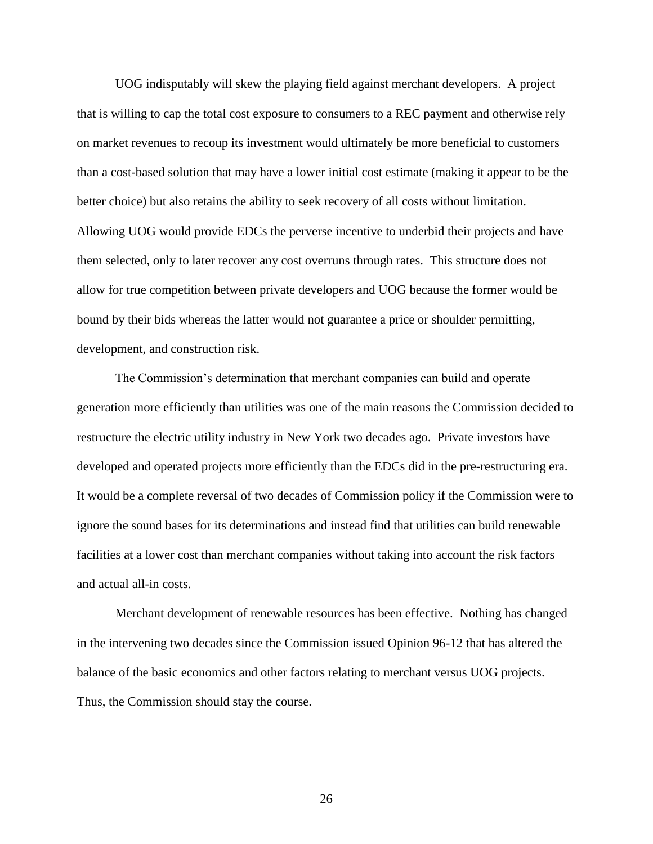UOG indisputably will skew the playing field against merchant developers. A project that is willing to cap the total cost exposure to consumers to a REC payment and otherwise rely on market revenues to recoup its investment would ultimately be more beneficial to customers than a cost-based solution that may have a lower initial cost estimate (making it appear to be the better choice) but also retains the ability to seek recovery of all costs without limitation. Allowing UOG would provide EDCs the perverse incentive to underbid their projects and have them selected, only to later recover any cost overruns through rates. This structure does not allow for true competition between private developers and UOG because the former would be bound by their bids whereas the latter would not guarantee a price or shoulder permitting, development, and construction risk.

The Commission's determination that merchant companies can build and operate generation more efficiently than utilities was one of the main reasons the Commission decided to restructure the electric utility industry in New York two decades ago. Private investors have developed and operated projects more efficiently than the EDCs did in the pre-restructuring era. It would be a complete reversal of two decades of Commission policy if the Commission were to ignore the sound bases for its determinations and instead find that utilities can build renewable facilities at a lower cost than merchant companies without taking into account the risk factors and actual all-in costs.

Merchant development of renewable resources has been effective. Nothing has changed in the intervening two decades since the Commission issued Opinion 96-12 that has altered the balance of the basic economics and other factors relating to merchant versus UOG projects. Thus, the Commission should stay the course.

26